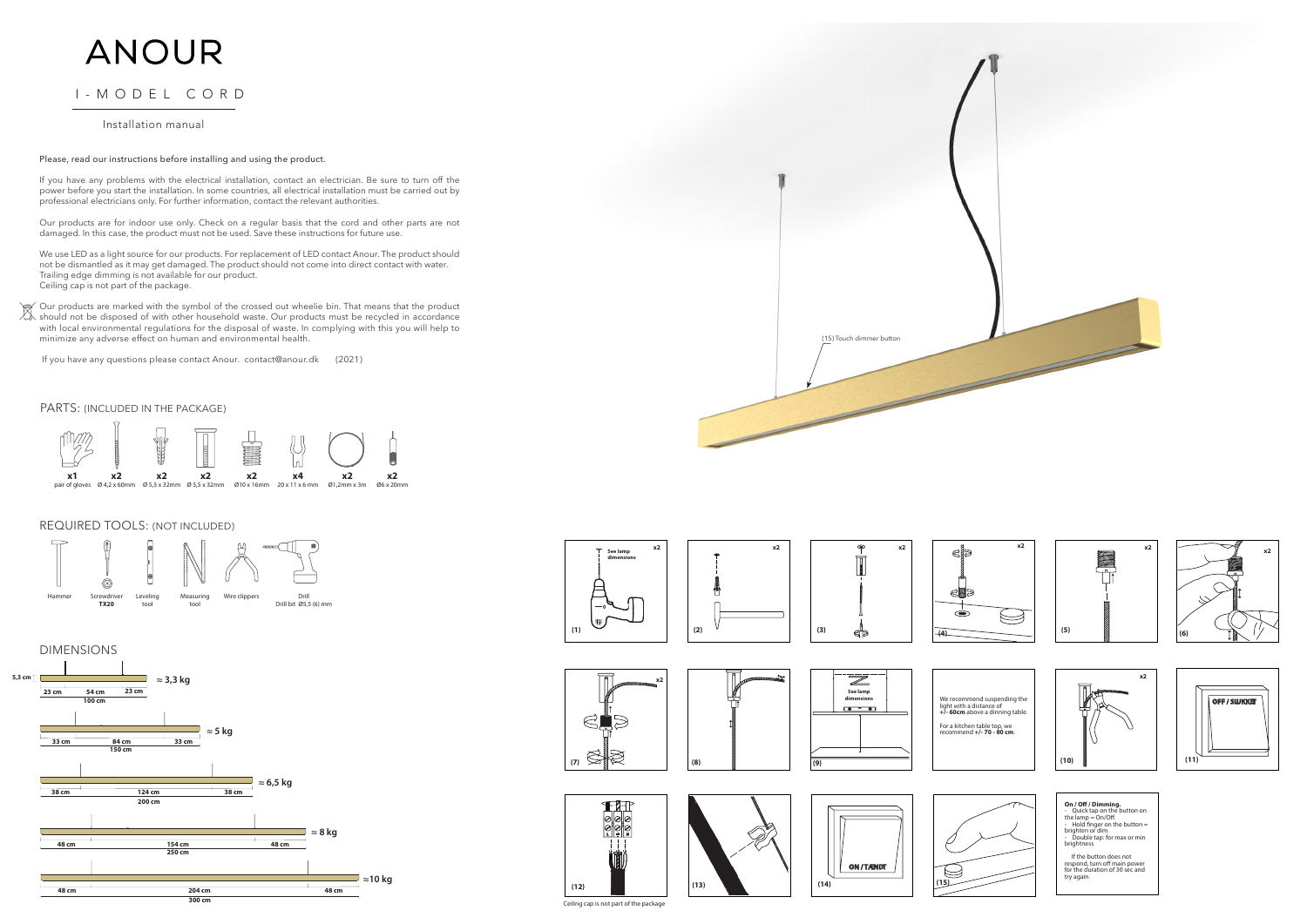#### Please, read our instructions before installing and using the product.

If you have any problems with the electrical installation, contact an electrician. Be sure to turn off the power before you start the installation. In some countries, all electrical installation must be carried out by professional electricians only. For further information, contact the relevant authorities.

Our products are for indoor use only. Check on a regular basis that the cord and other parts are not damaged. In this case, the product must not be used. Save these instructions for future use.

We use LED as a light source for our products. For replacement of LED contact Anour. The product should not be dismantled as it may get damaged. The product should not come into direct contact with water. Trailing edge dimming is not available for our product. Ceiling cap is not part of the package.

Our products are marked with the symbol of the crossed out wheelie bin. That means that the product should not be disposed of with other household waste. Our products must be recycled in accordance with local environmental regulations for the disposal of waste. In complying with this you will help to minimize any adverse effect on human and environmental health.

If you have any questions please contact Anour. contact@anour.dk (2021)











brightness









**On / Off / Dimming.**<br>- Quick tap on the button on<br>the lamp = On/Off.<br>- Hold finger on the button =<br>brighten or dim.<br>- Double tap: for max or min



 If the button does not respond, turn off main power for the duration of 30 sec and try again.













**(8)**







## REQUIRED TOOLS: (NOT INCLUDED)



## PARTS: (INCLUDED IN THE PACKAGE)







# ANOUR

# I-MODEL CORD

## Installation manual